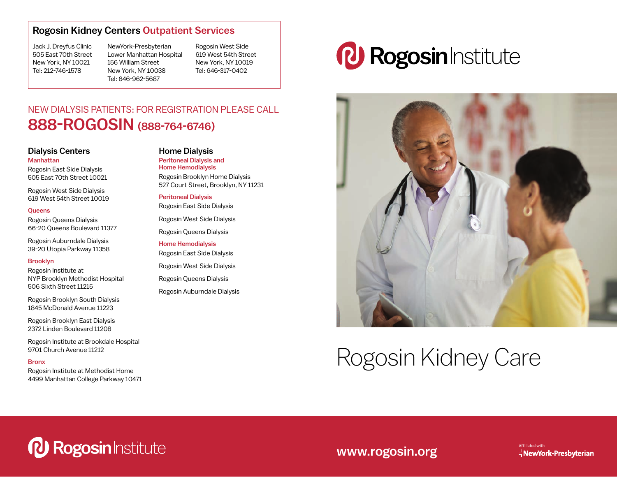### Rogosin Kidney Centers Outpatient Services

Jack J. Dreyfus Clinic 505 East 70th Street New York, NY 10021 Tel: 212-746-1578

NewYork-Presbyterian Lower Manhattan Hospital 156 William Street New York, NY 10038 Tel: 646-962-5687

Rogosin West Side 619 West 54th Street New York, NY 10019 Tel: 646-317-0402

## NEW DIALYSIS PATIENTS: FOR REGISTRATION PLEASE CALL 888-ROGOSIN (888-764-6746)

### Dialysis Centers Manhattan

Rogosin East Side Dialysis 505 East 70th Street 10021

Rogosin West Side Dialysis 619 West 54th Street 10019

#### **Queens**

Rogosin Queens Dialysis 66-20 Queens Boulevard 11377

Rogosin Auburndale Dialysis 39-20 Utopia Parkway 11358

### Brooklyn

Rogosin Institute at NYP Brooklyn Methodist Hospital 506 Sixth Street 11215

Rogosin Brooklyn South Dialysis 1845 McDonald Avenue 11223

Rogosin Brooklyn East Dialysis 2372 Linden Boulevard 11208

Rogosin Institute at Brookdale Hospital 9701 Church Avenue 11212

#### Bronx

Rogosin Institute at Methodist Home 4499 Manhattan College Parkway 10471

### Home Dialysis

Peritoneal Dialysis and Home Hemodialysis Rogosin Brooklyn Home Dialysis 527 Court Street, Brooklyn, NY 11231

Peritoneal Dialysis Rogosin East Side Dialysis

Rogosin West Side Dialysis

Rogosin Queens Dialysis

Home Hemodialysis Rogosin East Side Dialysis

Rogosin West Side Dialysis

Rogosin Queens Dialysis

Rogosin Auburndale Dialysis

# *PJ Rogosin Institute*



# Rogosin Kidney Care

*P. Rogosin Institute* 

## www.rogosin.org

Affiliated with  $\exists$  NewYork-Presbyterian